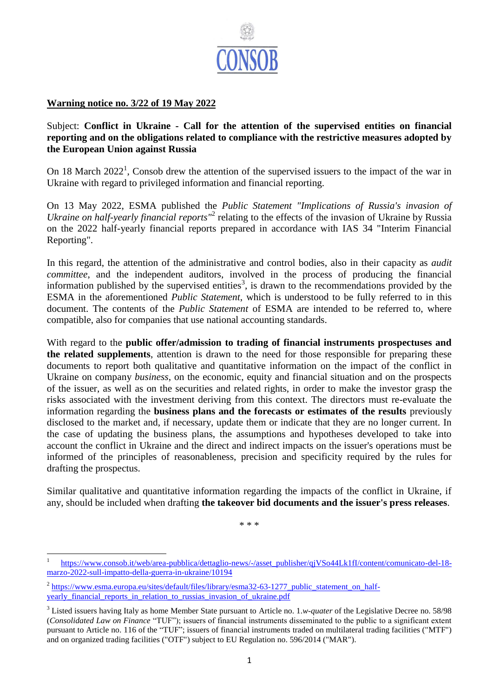

## **Warning notice no. 3/22 of 19 May 2022**

## Subject: **Conflict in Ukraine - Call for the attention of the supervised entities on financial reporting and on the obligations related to compliance with the restrictive measures adopted by the European Union against Russia**

On 18 March  $2022<sup>1</sup>$ , Consob drew the attention of the supervised issuers to the impact of the war in Ukraine with regard to privileged information and financial reporting.

On 13 May 2022, ESMA published the *Public Statement "Implications of Russia's invasion of*  Ukraine on half-yearly financial reports<sup>"2</sup> relating to the effects of the invasion of Ukraine by Russia on the 2022 half-yearly financial reports prepared in accordance with IAS 34 "Interim Financial Reporting".

In this regard, the attention of the administrative and control bodies, also in their capacity as *audit committee*, and the independent auditors, involved in the process of producing the financial information published by the supervised entities<sup>3</sup>, is drawn to the recommendations provided by the ESMA in the aforementioned *Public Statement*, which is understood to be fully referred to in this document. The contents of the *Public Statement* of ESMA are intended to be referred to, where compatible, also for companies that use national accounting standards.

With regard to the **public offer/admission to trading of financial instruments prospectuses and the related supplements**, attention is drawn to the need for those responsible for preparing these documents to report both qualitative and quantitative information on the impact of the conflict in Ukraine on company *business*, on the economic, equity and financial situation and on the prospects of the issuer, as well as on the securities and related rights, in order to make the investor grasp the risks associated with the investment deriving from this context. The directors must re-evaluate the information regarding the **business plans and the forecasts or estimates of the results** previously disclosed to the market and, if necessary, update them or indicate that they are no longer current. In the case of updating the business plans, the assumptions and hypotheses developed to take into account the conflict in Ukraine and the direct and indirect impacts on the issuer's operations must be informed of the principles of reasonableness, precision and specificity required by the rules for drafting the prospectus.

Similar qualitative and quantitative information regarding the impacts of the conflict in Ukraine, if any, should be included when drafting **the takeover bid documents and the issuer's press releases**.

\* \* \*

**.** 

<sup>1</sup> [https://www.consob.it/web/area-pubblica/dettaglio-news/-/asset\\_publisher/qjVSo44Lk1fI/content/comunicato-del-18](https://www.consob.it/web/area-pubblica/dettaglio-news/-/asset_publisher/qjVSo44Lk1fI/content/comunicato-del-18-marzo-2022-sull-impatto-della-guerra-in-ukraine/10194) [marzo-2022-sull-impatto-della-guerra-in-ukraine/10194](https://www.consob.it/web/area-pubblica/dettaglio-news/-/asset_publisher/qjVSo44Lk1fI/content/comunicato-del-18-marzo-2022-sull-impatto-della-guerra-in-ukraine/10194)

<sup>&</sup>lt;sup>2</sup> https://www.esma.europa.eu/sites/default/files/library/esma32-63-1277 public statement on half[yearly\\_financial\\_reports\\_in\\_relation\\_to\\_russias\\_invasion\\_of\\_ukraine.pdf](https://www.esma.europa.eu/sites/default/files/library/esma32-63-1277_public_statement_on_half-yearly_financial_reports_in_relation_to_russias_invasion_of_ukraine.pdf)

<sup>3</sup> Listed issuers having Italy as home Member State pursuant to Article no. 1.*w-quater* of the Legislative Decree no. 58/98 (*Consolidated Law on Finance* "TUF"); issuers of financial instruments disseminated to the public to a significant extent pursuant to Article no. 116 of the "TUF"; issuers of financial instruments traded on multilateral trading facilities ("MTF") and on organized trading facilities ("OTF") subject to EU Regulation no. 596/2014 ("MAR").